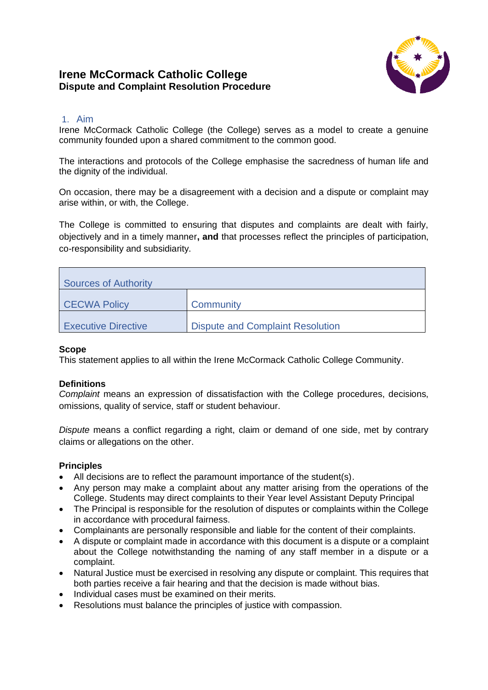# **Irene McCormack Catholic College Dispute and Complaint Resolution Procedure**



## 1. Aim

Irene McCormack Catholic College (the College) serves as a model to create a genuine community founded upon a shared commitment to the common good.

The interactions and protocols of the College emphasise the sacredness of human life and the dignity of the individual.

On occasion, there may be a disagreement with a decision and a dispute or complaint may arise within, or with, the College.

The College is committed to ensuring that disputes and complaints are dealt with fairly, objectively and in a timely manner**, and** that processes reflect the principles of participation, co-responsibility and subsidiarity.

| Sources of Authority       |                                         |  |  |  |
|----------------------------|-----------------------------------------|--|--|--|
| <b>CECWA Policy</b>        | Community                               |  |  |  |
| <b>Executive Directive</b> | <b>Dispute and Complaint Resolution</b> |  |  |  |

#### **Scope**

This statement applies to all within the Irene McCormack Catholic College Community.

### **Definitions**

*Complaint* means an expression of dissatisfaction with the College procedures, decisions, omissions, quality of service, staff or student behaviour.

*Dispute* means a conflict regarding a right, claim or demand of one side, met by contrary claims or allegations on the other.

### **Principles**

- All decisions are to reflect the paramount importance of the student(s).
- Any person may make a complaint about any matter arising from the operations of the College. Students may direct complaints to their Year level Assistant Deputy Principal
- The Principal is responsible for the resolution of disputes or complaints within the College in accordance with procedural fairness.
- Complainants are personally responsible and liable for the content of their complaints.
- A dispute or complaint made in accordance with this document is a dispute or a complaint about the College notwithstanding the naming of any staff member in a dispute or a complaint.
- Natural Justice must be exercised in resolving any dispute or complaint. This requires that both parties receive a fair hearing and that the decision is made without bias.
- Individual cases must be examined on their merits.
- Resolutions must balance the principles of justice with compassion.